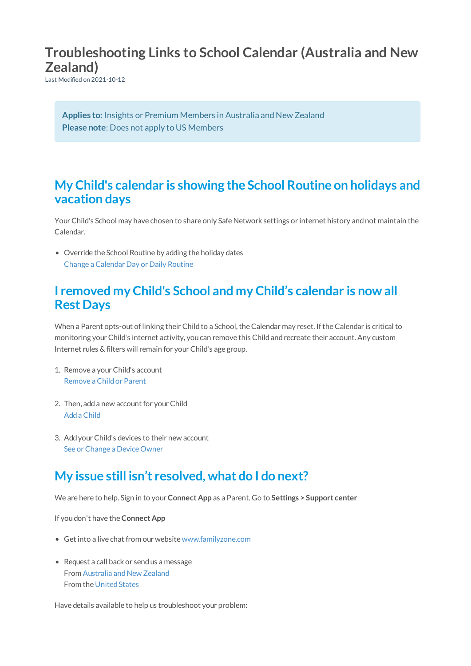## **Troubleshooting Links to School Calendar (Australia and New Zealand)**

Last Modified on 2021-10-12

**Applies to:** Insights or Premium Members in Australia and New Zealand **Please note**: Does not apply to US Members

## **My Child's calendar is showing the School Routine on holidays and vacation days**

YourChild's School may have chosen to share only Safe Network settings or internet history andnot maintain the Calendar.

Override the School Routine by adding the holiday dates Change a Calendar Day or Daily Routine

## **I removed my Child's School and my Child's calendar is now all Rest Days**

When a Parent opts-out of linking their Child to a School, the Calendar may reset. If the Calendar is critical to monitoring your Child's internet activity, you can remove this Child and recreate their account. Any custom Internet rules & filters will remain for your Child's age group.

- 1. Remove a your Child's account Remove a Childor Parent
- 2. Then, add a new account for your Child Adda Child
- 3. Add your Child's devices to their new account See or Change a Device Owner

## **My issue still isn't resolved, what do I do next?**

We are here to help. Sign in to your**Connect App** as a Parent. Go to **Settings > Support center**

If youdon't have the **Connect App**

- Get into a live chat from our website www.familyzone.com
- Request a call back or send us a message From Australia and New Zealand From the United States

Have details available to help us troubleshoot your problem: